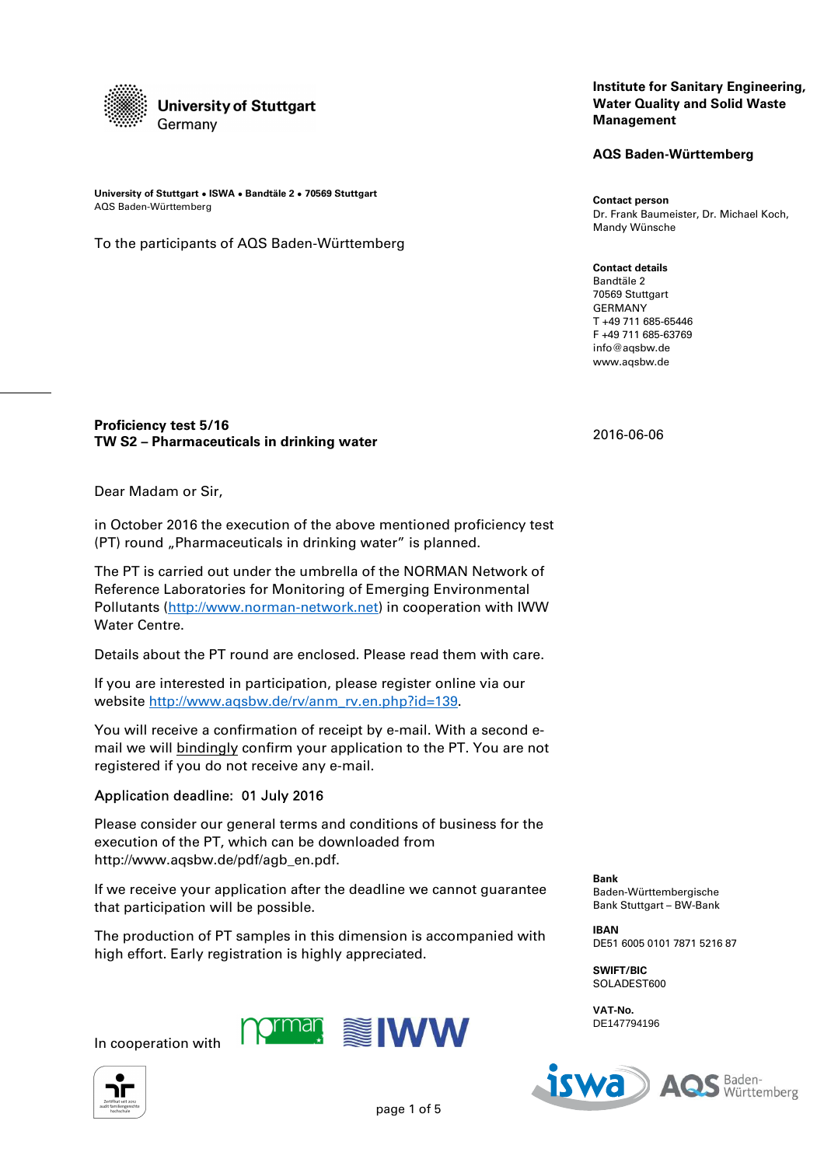

**University of Stuttgart ● ISWA ● Bandtäle 2 ● 70569 Stuttgart** AQS Baden-Württemberg

To the participants of AQS Baden-Württemberg

#### **Institute for Sanitary Engineering, Water Quality and Solid Waste Management**

**AQS Baden-Württemberg** 

**Contact person**  Dr. Frank Baumeister, Dr. Michael Koch, Mandy Wünsche

**Contact details**  Bandtäle 2 70569 Stuttgart GERMANY T +49 711 685-65446 F +49 711 685-63769 info@aqsbw.de www.aqsbw.de

2016-06-06

#### **Proficiency test 5/16 TW S2 – Pharmaceuticals in drinking water**

Dear Madam or Sir,

in October 2016 the execution of the above mentioned proficiency test (PT) round "Pharmaceuticals in drinking water" is planned.

The PT is carried out under the umbrella of the NORMAN Network of Reference Laboratories for Monitoring of Emerging Environmental Pollutants (http://www.norman-network.net) in cooperation with IWW Water Centre.

Details about the PT round are enclosed. Please read them with care.

If you are interested in participation, please register online via our website http://www.aqsbw.de/rv/anm\_rv.en.php?id=139.

You will receive a confirmation of receipt by e-mail. With a second email we will bindingly confirm your application to the PT. You are not registered if you do not receive any e-mail.

#### Application deadline: 01 July 2016

Please consider our general terms and conditions of business for the execution of the PT, which can be downloaded from http://www.aqsbw.de/pdf/agb\_en.pdf.

If we receive your application after the deadline we cannot guarantee that participation will be possible.

The production of PT samples in this dimension is accompanied with high effort. Early registration is highly appreciated.





**Bank** Baden-Württembergische Bank Stuttgart – BW-Bank

**IBAN** DE51 6005 0101 7871 5216 87

**SWIFT/BIC** SOLADEST600

**VAT-No.**  DE147794196

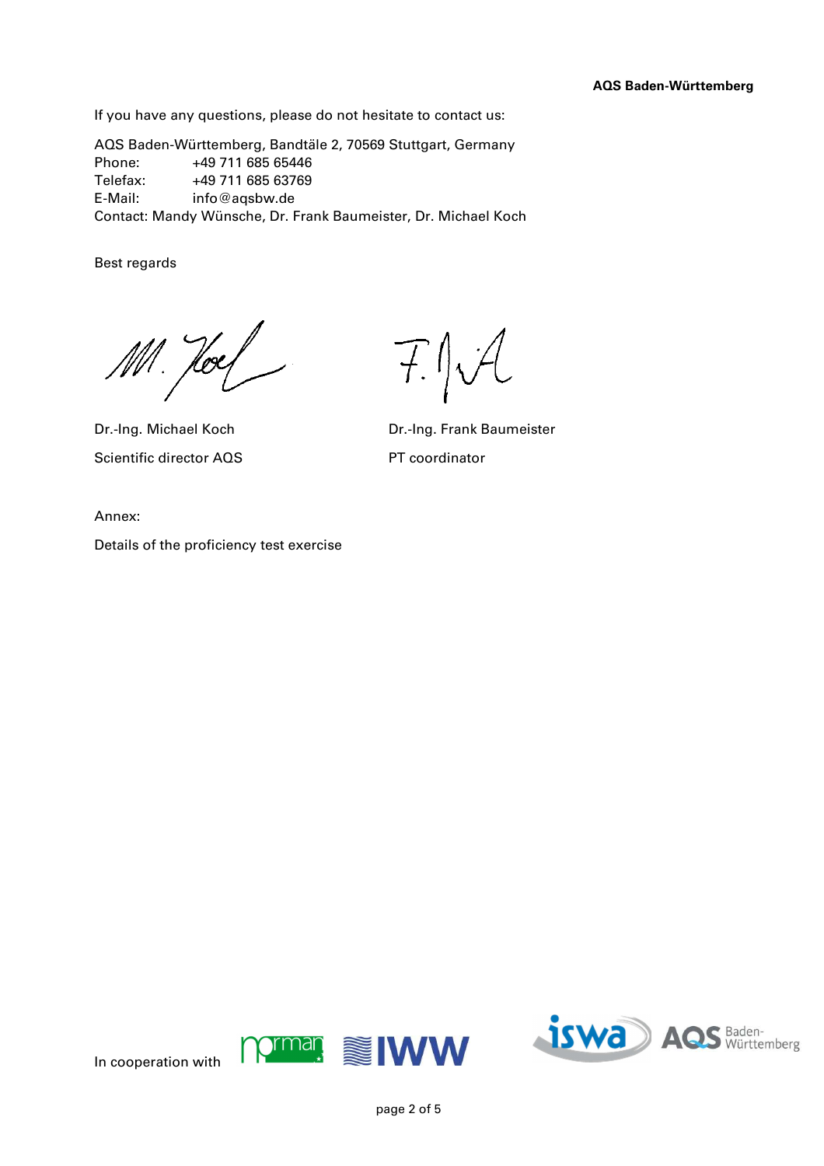If you have any questions, please do not hesitate to contact us:

AQS Baden-Württemberg, Bandtäle 2, 70569 Stuttgart, Germany Phone: +49 711 685 65446 Telefax: +49 711 685 63769 E-Mail: info@aqsbw.de Contact: Mandy Wünsche, Dr. Frank Baumeister, Dr. Michael Koch

Best regards

Holf

Scientific director AQS PT coordinator

 $T$ J $V$ 

Dr.-Ing. Michael Koch Dr.-Ing. Frank Baumeister

Annex:

Details of the proficiency test exercise



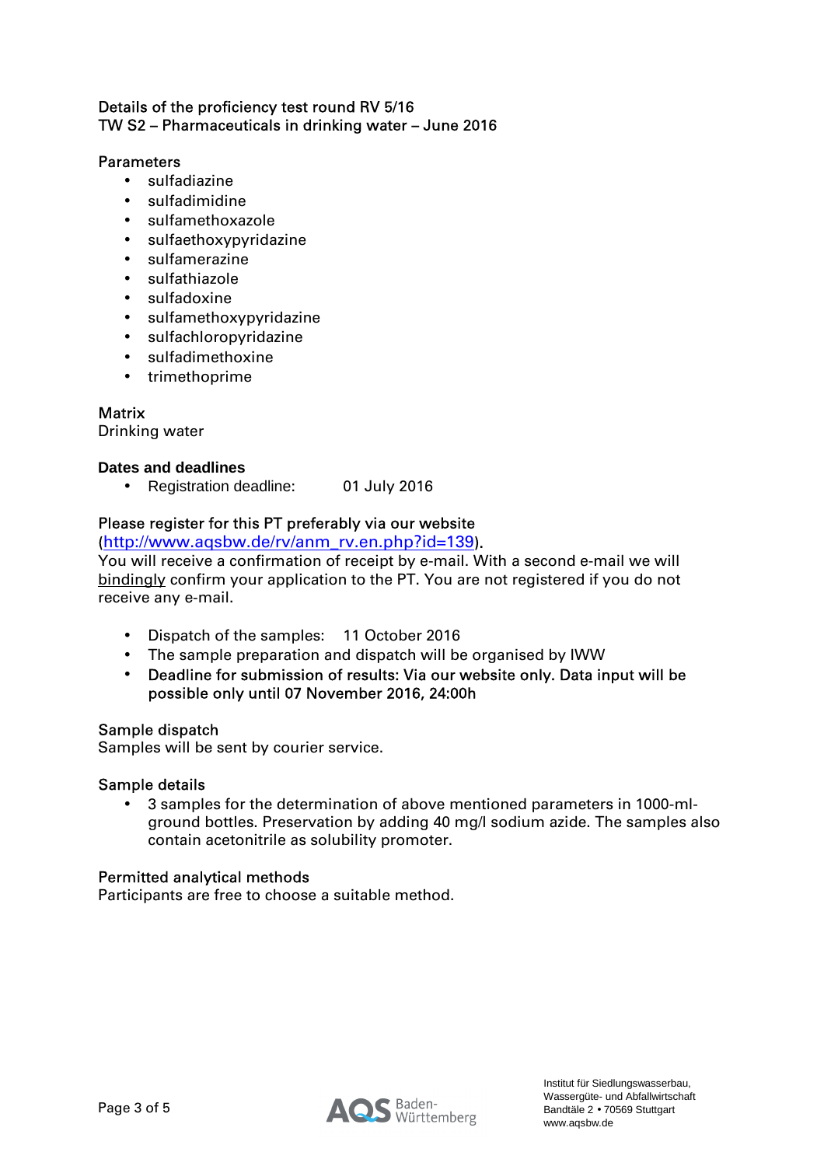### Details of the proficiency test round RV 5/16 TW S2 – Pharmaceuticals in drinking water – June 2016

### Parameters

- sulfadiazine
- sulfadimidine
- sulfamethoxazole
- sulfaethoxypyridazine
- sulfamerazine
- sulfathiazole
- sulfadoxine
- sulfamethoxypyridazine
- sulfachloropyridazine
- sulfadimethoxine
- trimethoprime

## **Matrix**

Drinking water

### **Dates and deadlines**

• Registration deadline: 01 July 2016

## Please register for this PT preferably via our website

(http://www.aqsbw.de/rv/anm\_rv.en.php?id=139).

You will receive a confirmation of receipt by e-mail. With a second e-mail we will bindingly confirm your application to the PT. You are not registered if you do not receive any e-mail.

- Dispatch of the samples: 11 October 2016
- The sample preparation and dispatch will be organised by IWW
- Deadline for submission of results: Via our website only. Data input will be possible only until 07 November 2016, 24:00h

#### Sample dispatch

Samples will be sent by courier service.

#### Sample details

• 3 samples for the determination of above mentioned parameters in 1000-mlground bottles. Preservation by adding 40 mg/l sodium azide. The samples also contain acetonitrile as solubility promoter.

#### Permitted analytical methods

Participants are free to choose a suitable method.

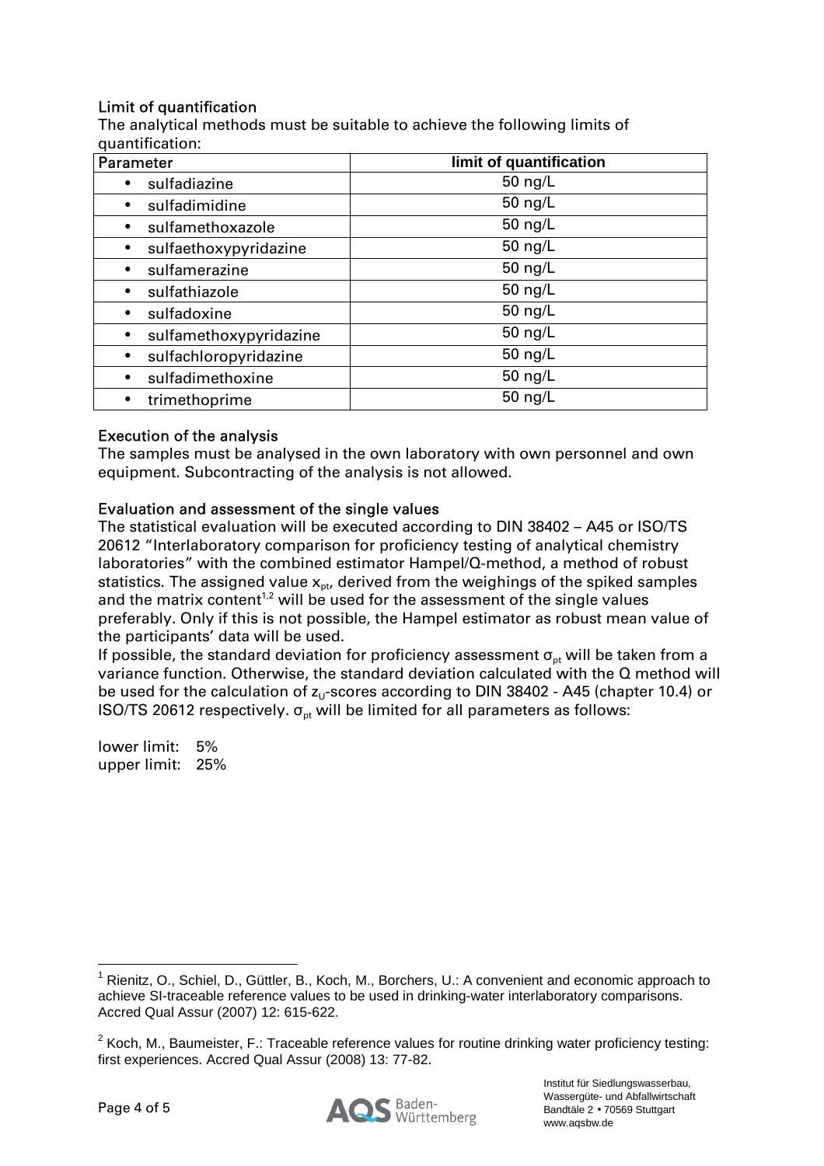# Limit of quantification

The analytical methods must be suitable to achieve the following limits of quantification:

| <b>Parameter</b>       | limit of quantification |
|------------------------|-------------------------|
| sulfadiazine           | 50 ng/L                 |
| sulfadimidine          | 50 ng/L                 |
| sulfamethoxazole       | 50 $\frac{ng}{L}$       |
| sulfaethoxypyridazine  | 50 $\frac{ng}{L}$       |
| sulfamerazine          | 50 ng/L                 |
| sulfathiazole          | 50 $\frac{ng}{L}$       |
| sulfadoxine            | 50 ng/L                 |
| sulfamethoxypyridazine | 50 $\frac{ng}{L}$       |
| sulfachloropyridazine  | 50 ng/L                 |
| sulfadimethoxine       | 50 $\frac{ng}{L}$       |
| trimethoprime          | 50 $\frac{ng}{L}$       |

## Execution of the analysis

The samples must be analysed in the own laboratory with own personnel and own equipment. Subcontracting of the analysis is not allowed.

## Evaluation and assessment of the single values

The statistical evaluation will be executed according to DIN 38402 – A45 or ISO/TS 20612 "Interlaboratory comparison for proficiency testing of analytical chemistry laboratories" with the combined estimator Hampel/Q-method, a method of robust statistics. The assigned value  $x_{\text{ot}}$ , derived from the weighings of the spiked samples and the matrix content<sup>1,2</sup> will be used for the assessment of the single values preferably. Only if this is not possible, the Hampel estimator as robust mean value of the participants' data will be used.

If possible, the standard deviation for proficiency assessment  $\sigma_{\rm pt}$  will be taken from a variance function. Otherwise, the standard deviation calculated with the Q method will be used for the calculation of  $z_0$ -scores according to DIN 38402 - A45 (chapter 10.4) or ISO/TS 20612 respectively.  $\sigma_{pt}$  will be limited for all parameters as follows:

lower limit: 5% upper limit: 25%



 $\overline{a}$ <sup>1</sup> Rienitz, O., Schiel, D., Güttler, B., Koch, M., Borchers, U.: A convenient and economic approach to achieve SI-traceable reference values to be used in drinking-water interlaboratory comparisons. Accred Qual Assur (2007) 12: 615-622.

 $2$  Koch, M., Baumeister, F.: Traceable reference values for routine drinking water proficiency testing: first experiences. Accred Qual Assur (2008) 13: 77-82.